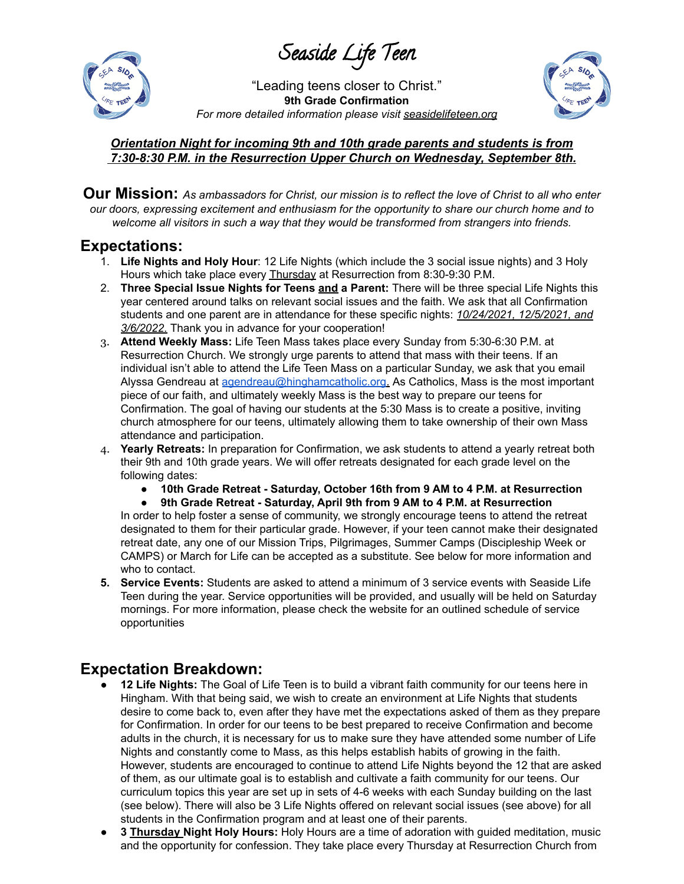Seaside Life Teen



"Leading teens closer to Christ." **9th Grade Confirmation** *For more detailed information please visit seasidelifeteen.org*



### *Orientation Night for incoming 9th and 10th grade parents and students is from 7:30-8:30 P.M. in the Resurrection Upper Church on Wednesday, September 8th.*

Our Mission: As ambassadors for Christ, our mission is to reflect the love of Christ to all who enter *our doors, expressing excitement and enthusiasm for the opportunity to share our church home and to welcome all visitors in such a way that they would be transformed from strangers into friends.*

### **Expectations:**

- 1. **Life Nights and Holy Hour**: 12 Life Nights (which include the 3 social issue nights) and 3 Holy Hours which take place every **Thursday** at Resurrection from 8:30-9:30 P.M.
- 2. **Three Special Issue Nights for Teens and a Parent:** There will be three special Life Nights this year centered around talks on relevant social issues and the faith. We ask that all Confirmation students and one parent are in attendance for these specific nights: *10/24/2021, 12/5/2021, and 3/6/2022*. Thank you in advance for your cooperation!
- 3. **Attend Weekly Mass:** Life Teen Mass takes place every Sunday from 5:30-6:30 P.M. at Resurrection Church. We strongly urge parents to attend that mass with their teens. If an individual isn't able to attend the Life Teen Mass on a particular Sunday, we ask that you email Alyssa Gendreau at [agendreau@hinghamcatholic.org.](mailto:agendreau@hinghamcatholic.org) As Catholics, Mass is the most important piece of our faith, and ultimately weekly Mass is the best way to prepare our teens for Confirmation. The goal of having our students at the 5:30 Mass is to create a positive, inviting church atmosphere for our teens, ultimately allowing them to take ownership of their own Mass attendance and participation.
- 4. **Yearly Retreats:** In preparation for Confirmation, we ask students to attend a yearly retreat both their 9th and 10th grade years. We will offer retreats designated for each grade level on the following dates:
	- **● 10th Grade Retreat - Saturday, October 16th from 9 AM to 4 P.M. at Resurrection**

**● 9th Grade Retreat - Saturday, April 9th from 9 AM to 4 P.M. at Resurrection** In order to help foster a sense of community, we strongly encourage teens to attend the retreat designated to them for their particular grade. However, if your teen cannot make their designated retreat date, any one of our Mission Trips, Pilgrimages, Summer Camps (Discipleship Week or CAMPS) or March for Life can be accepted as a substitute. See below for more information and who to contact.

**5. Service Events:** Students are asked to attend a minimum of 3 service events with Seaside Life Teen during the year. Service opportunities will be provided, and usually will be held on Saturday mornings. For more information, please check the website for an outlined schedule of service opportunities

# **Expectation Breakdown:**

- 12 Life Nights: The Goal of Life Teen is to build a vibrant faith community for our teens here in Hingham. With that being said, we wish to create an environment at Life Nights that students desire to come back to, even after they have met the expectations asked of them as they prepare for Confirmation. In order for our teens to be best prepared to receive Confirmation and become adults in the church, it is necessary for us to make sure they have attended some number of Life Nights and constantly come to Mass, as this helps establish habits of growing in the faith. However, students are encouraged to continue to attend Life Nights beyond the 12 that are asked of them, as our ultimate goal is to establish and cultivate a faith community for our teens. Our curriculum topics this year are set up in sets of 4-6 weeks with each Sunday building on the last (see below). There will also be 3 Life Nights offered on relevant social issues (see above) for all students in the Confirmation program and at least one of their parents.
- **3 Thursday Night Holy Hours:** Holy Hours are a time of adoration with guided meditation, music and the opportunity for confession. They take place every Thursday at Resurrection Church from